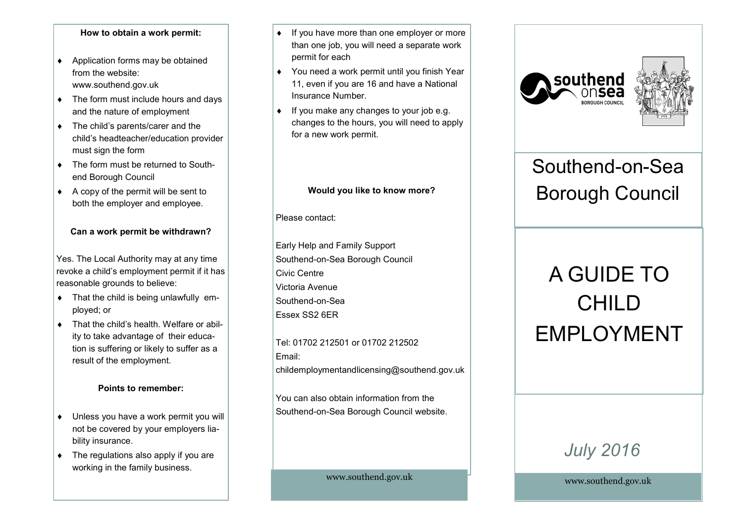#### **How to obtain a work permit:**

- ◆ Application forms may be obtained from the website: www.southend.gov.uk
- The form must include hours and days and the nature of employment
- The child's parents/carer and the child's headteacher/education provider must sign the form
- ◆ The form must be returned to Southend Borough Council
- $\triangle$  A copy of the permit will be sent to both the employer and employee.

#### **Can a work permit be withdrawn?**

Yes. The Local Authority may at any time revoke a child's employment permit if it has reasonable grounds to believe:

- $\bullet$  That the child is being unlawfully employed; or
- ◆ That the child's health. Welfare or ability to take advantage of their education is suffering or likely to suffer as a result of the employment.

#### **Points to remember:**

- Unless you have a work permit you will not be covered by your employers liability insurance.
- The regulations also apply if you are working in the family business.
- ◆ If you have more than one employer or more than one job, you will need a separate work permit for each
- You need a work permit until you finish Year 11, even if you are 16 and have a National Insurance Number.
- $\bullet$  If you make any changes to your job e.g. changes to the hours, you will need to apply for a new work permit.

#### **Would you like to know more?**

Please contact:

Early Help and Family Support Southend-on-Sea Borough Council Civic Centre Victoria Avenue Southend-on-Sea Essex SS2 6ER

Tel: 01702 212501 or 01702 212502 Email: childemploymentandlicensing@southend.gov.uk

You can also obtain information from the Southend-on-Sea Borough Council website.

www.southend.gov.uk





## Southend-on-Sea Borough Council

# A GUIDE TO CHILD EMPLOYMENT

### *July 2016*

www.southend.gov.uk